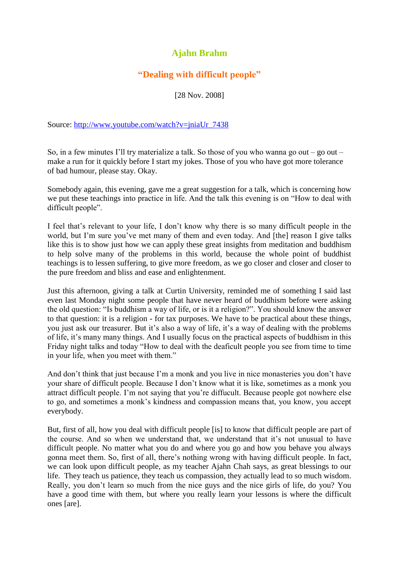## **Ajahn Brahm**

## **"Dealing with difficult people"**

[28 Nov. 2008]

Source: [http://www.youtube.com/watch?v=jniaUr\\_7438](http://www.youtube.com/watch?v=jniaUr_7438)

So, in a few minutes I'll try materialize a talk. So those of you who wanna go out – go out – make a run for it quickly before I start my jokes. Those of you who have got more tolerance of bad humour, please stay. Okay.

Somebody again, this evening, gave me a great suggestion for a talk, which is concerning how we put these teachings into practice in life. And the talk this evening is on "How to deal with difficult people".

I feel that"s relevant to your life, I don"t know why there is so many difficult people in the world, but I'm sure you've met many of them and even today. And [the] reason I give talks like this is to show just how we can apply these great insights from meditation and buddhism to help solve many of the problems in this world, because the whole point of buddhist teachings is to lessen suffering, to give more freedom, as we go closer and closer and closer to the pure freedom and bliss and ease and enlightenment.

Just this afternoon, giving a talk at Curtin University, reminded me of something I said last even last Monday night some people that have never heard of buddhism before were asking the old question: "Is buddhism a way of life, or is it a religion?". You should know the answer to that question: it is a religion - for tax purposes. We have to be practical about these things, you just ask our treasurer. But it"s also a way of life, it"s a way of dealing with the problems of life, it"s many many things. And I usually focus on the practical aspects of buddhism in this Friday night talks and today "How to deal with the deaficult people you see from time to time in your life, when you meet with them."

And don't think that just because I'm a monk and you live in nice monasteries you don't have your share of difficult people. Because I don"t know what it is like, sometimes as a monk you attract difficult people. I"m not saying that you"re diffucult. Because people got nowhere else to go, and sometimes a monk"s kindness and compassion means that, you know, you accept everybody.

But, first of all, how you deal with difficult people [is] to know that difficult people are part of the course. And so when we understand that, we understand that it's not unusual to have difficult people. No matter what you do and where you go and how you behave you always gonna meet them. So, first of all, there"s nothing wrong with having difficult people. In fact, we can look upon difficult people, as my teacher Ajahn Chah says, as great blessings to our life. They teach us patience, they teach us compassion, they actually lead to so much wisdom. Really, you don"t learn so much from the nice guys and the nice girls of life, do you? You have a good time with them, but where you really learn your lessons is where the difficult ones [are].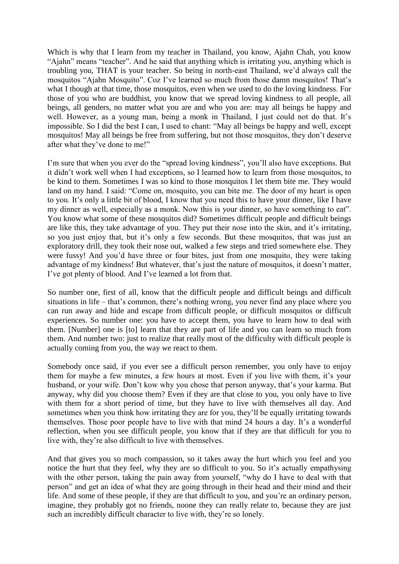Which is why that I learn from my teacher in Thailand, you know, Ajahn Chah, you know "Ajahn" means "teacher". And he said that anything which is irritating you, anything which is troubling you, THAT is your teacher. So being in north-east Thailand, we"d always call the mosquitos "Ajahn Mosquito". Coz I"ve learned so much from those damn mosquitos! That"s what I though at that time, those mosquitos, even when we used to do the loving kindness. For those of you who are buddhist, you know that we spread loving kindness to all people, all beings, all genders, no matter what you are and who you are: may all beings be happy and well. However, as a young man, being a monk in Thailand, I just could not do that. It's impossible. So I did the best I can, I used to chant: "May all beings be happy and well, except mosquitos! May all beings be free from suffering, but not those mosquitos, they don"t deserve after what they've done to me!"

I'm sure that when you ever do the "spread loving kindness", you'll also have exceptions. But it didn"t work well when I had exceptions, so I learned how to learn from those mosquitos, to be kind to them. Sometimes I was so kind to those mosquitos I let them bite me. They would land on my hand. I said: "Come on, mosquito, you can bite me. The door of my heart is open to you. It"s only a little bit of blood, I know that you need this to have your dinner, like I have my dinner as well, especially as a monk. Now this is your dinner, so have something to eat". You know what some of these mosquitos did? Sometimes difficult people and difficult beings are like this, they take advantage of you. They put their nose into the skin, and it's irritating, so you just enjoy that, but it's only a few seconds. But these mosquitos, that was just an exploratory drill, they took their nose out, walked a few steps and tried somewhere else. They were fussy! And you'd have three or four bites, just from one mosquito, they were taking advantage of my kindness! But whatever, that's just the nature of mosquitos, it doesn't matter, I"ve got plenty of blood. And I"ve learned a lot from that.

So number one, first of all, know that the difficult people and difficult beings and difficult situations in life – that's common, there's nothing wrong, you never find any place where you can run away and hide and escape from difficult people, or difficult mosquitos or difficult experiences. So number one: you have to accept them, you have to learn how to deal with them. [Number] one is [to] learn that they are part of life and you can learn so much from them. And number two: just to realize that really most of the difficulty with difficult people is actually coming from you, the way we react to them.

Somebody once said, if you ever see a difficult person remember, you only have to enjoy them for maybe a few minutes, a few hours at most. Even if you live with them, it's your husband, or your wife. Don't kow why you chose that person anyway, that's your karma. But anyway, why did you choose them? Even if they are that close to you, you only have to live with them for a short period of time, but they have to live with themselves all day. And sometimes when you think how irritating they are for you, they"ll be equally irritating towards themselves. Those poor people have to live with that mind 24 hours a day. It's a wonderful reflection, when you see difficult people, you know that if they are that difficult for you to live with, they"re also difficult to live with themselves.

And that gives you so much compassion, so it takes away the hurt which you feel and you notice the hurt that they feel, why they are so difficult to you. So it's actually empathysing with the other person, taking the pain away from yourself, "why do I have to deal with that person" and get an idea of what they are going through in their head and their mind and their life. And some of these people, if they are that difficult to you, and you're an ordinary person, imagine, they probably got no friends, noone they can really relate to, because they are just such an incredibly difficult character to live with, they"re so lonely.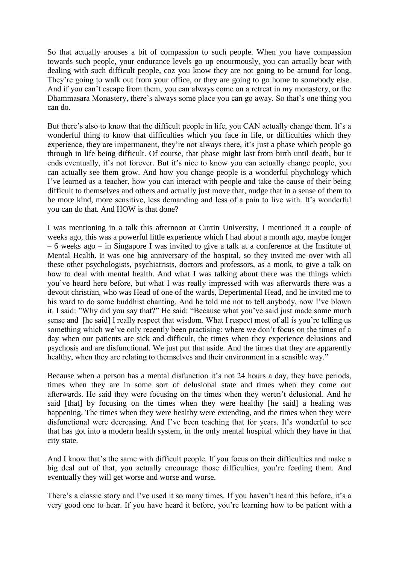So that actually arouses a bit of compassion to such people. When you have compassion towards such people, your endurance levels go up enourmously, you can actually bear with dealing with such difficult people, coz you know they are not going to be around for long. They're going to walk out from your office, or they are going to go home to somebody else. And if you can"t escape from them, you can always come on a retreat in my monastery, or the Dhammasara Monastery, there's always some place you can go away. So that's one thing you can do.

But there's also to know that the difficult people in life, you CAN actually change them. It's a wonderful thing to know that difficulties which you face in life, or difficulties which they experience, they are impermanent, they're not always there, it's just a phase which people go through in life being difficult. Of course, that phase might last from birth until death, but it ends eventually, it's not forever. But it's nice to know you can actually change people, you can actually see them grow. And how you change people is a wonderful phychology which I"ve learned as a teacher, how you can interact with people and take the cause of their being difficult to themselves and others and actually just move that, nudge that in a sense of them to be more kind, more sensitive, less demanding and less of a pain to live with. It's wonderful you can do that. And HOW is that done?

I was mentioning in a talk this afternoon at Curtin University, I mentioned it a couple of weeks ago, this was a powerful little experience which I had about a month ago, maybe longer – 6 weeks ago – in Singapore I was invited to give a talk at a conference at the Institute of Mental Health. It was one big anniversary of the hospital, so they invited me over with all these other psychologists, psychiatrists, doctors and professors, as a monk, to give a talk on how to deal with mental health. And what I was talking about there was the things which you"ve heard here before, but what I was really impressed with was afterwards there was a devout christian, who was Head of one of the wards, Depertmental Head, and he invited me to his ward to do some buddhist chanting. And he told me not to tell anybody, now I"ve blown it. I said: "Why did you say that?" He said: "Because what you"ve said just made some much sense and [he said] I really respect that wisdom. What I respect most of all is you"re telling us something which we've only recently been practising: where we don't focus on the times of a day when our patients are sick and difficult, the times when they experience delusions and psychosis and are disfunctional. We just put that aside. And the times that they are apparently healthy, when they are relating to themselves and their environment in a sensible way."

Because when a person has a mental disfunction it's not 24 hours a day, they have periods, times when they are in some sort of delusional state and times when they come out afterwards. He said they were focusing on the times when they weren"t delusional. And he said [that] by focusing on the times when they were healthy [he said] a healing was happening. The times when they were healthy were extending, and the times when they were disfunctional were decreasing. And I've been teaching that for years. It's wonderful to see that has got into a modern health system, in the only mental hospital which they have in that city state.

And I know that's the same with difficult people. If you focus on their difficulties and make a big deal out of that, you actually encourage those difficulties, you"re feeding them. And eventually they will get worse and worse and worse.

There's a classic story and I've used it so many times. If you haven't heard this before, it's a very good one to hear. If you have heard it before, you"re learning how to be patient with a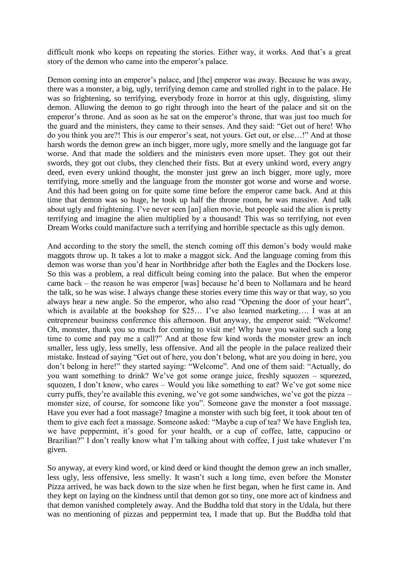difficult monk who keeps on repeating the stories. Either way, it works. And that's a great story of the demon who came into the emperor's palace.

Demon coming into an emperor's palace, and [the] emperor was away. Because he was away, there was a monster, a big, ugly, terrifying demon came and strolled right in to the palace. He was so frightening, so terrifying, everybody froze in horror at this ugly, disguisting, slimy demon. Allowing the demon to go right through into the heart of the palace and sit on the emperor's throne. And as soon as he sat on the emperor's throne, that was just too much for the guard and the ministers, they came to their senses. And they said: "Get out of here! Who do you think you are?! This is our emperor"s seat, not yours. Get out, or else…!" And at those harsh words the demon grew an inch bigger, more ugly, more smelly and the language got far worse. And that made the soldiers and the ministers even more upset. They got out their swords, they got out clubs, they clenched their fists. But at every unkind word, every angry deed, even every unkind thought, the monster just grew an inch bigger, more ugly, more terrifying, more smelly and the language from the monster got worse and worse and worse. And this had been going on for quite some time before the emperor came back. And at this time that demon was so huge, he took up half the throne room, he was massive. And talk about ugly and frightening. I've never seen [an] alien movie, but people said the alien is pretty terrifying and imagine the alien multiplied by a thousand! This was so terrifying, not even Dream Works could manifacture such a terrifying and horrible spectacle as this ugly demon.

And according to the story the smell, the stench coming off this demon"s body would make maggots throw up. It takes a lot to make a maggot sick. And the language coming from this demon was worse than you"d hear in Northbridge after both the Eagles and the Dockers lose. So this was a problem, a real difficult being coming into the palace. But when the emperor came back – the reason he was emperor [was] because he"d been to Nollamara and he heard the talk, so he was wise. I always change these stories every time this way or that way, so you always hear a new angle. So the emperor, who also read "Opening the door of your heart", which is available at the bookshop for \$25... I've also learned marketing.... I was at an entrepreneur business conference this afternoon. But anyway, the emperor said: "Welcome! Oh, monster, thank you so much for coming to visit me! Why have you waited such a long time to come and pay me a call?" And at those few kind words the monster grew an inch smaller, less ugly, less smelly, less offensive. And all the people in the palace realized their mistake. Instead of saying "Get out of here, you don"t belong, what are you doing in here, you don"t belong in here!" they started saying: "Welcome". And one of them said: "Actually, do you want something to drink? We've got some orange juice, freshly squozen – squeezed, squozen, I don't know, who cares  $-$  Would you like something to eat? We've got some nice curry puffs, they"re available this evening, we"ve got some sandwiches, we"ve got the pizza – monster size, of course, for someone like you". Someone gave the monster a foot massage. Have you ever had a foot massage? Imagine a monster with such big feet, it took about ten of them to give each feet a massage. Someone asked: "Maybe a cup of tea? We have English tea, we have peppermint, it's good for your health, or a cup of coffee, latte, cappucino or Brazilian?" I don't really know what I'm talking about with coffee, I just take whatever I'm given.

So anyway, at every kind word, or kind deed or kind thought the demon grew an inch smaller, less ugly, less offensive, less smelly. It wasn"t such a long time, even before the Monster Pizza arrived, he was back down to the size when he first began, when he first came in. And they kept on laying on the kindness until that demon got so tiny, one more act of kindness and that demon vanished completely away. And the Buddha told that story in the Udala, but there was no mentioning of pizzas and peppermint tea, I made that up. But the Buddha told that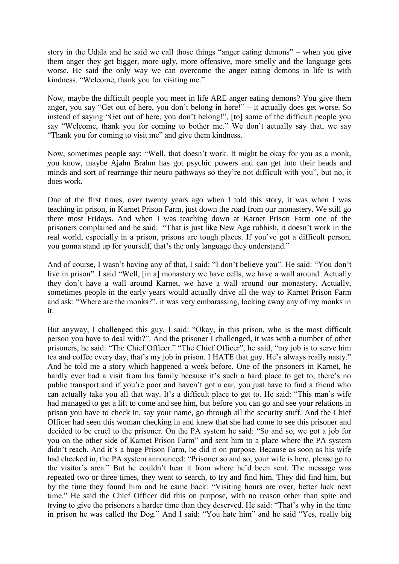story in the Udala and he said we call those things "anger eating demons" – when you give them anger they get bigger, more ugly, more offensive, more smelly and the language gets worse. He said the only way we can overcome the anger eating demons in life is with kindness. "Welcome, thank you for visiting me."

Now, maybe the difficult people you meet in life ARE anger eating demons? You give them anger, you say "Get out of here, you don"t belong in here!" – it actually does get worse. So instead of saying "Get out of here, you don"t belong!", [to] some of the difficult people you say "Welcome, thank you for coming to bother me." We don't actually say that, we say "Thank you for coming to visit me" and give them kindness.

Now, sometimes people say: "Well, that doesn"t work. It might be okay for you as a monk, you know, maybe Ajahn Brahm has got psychic powers and can get into their heads and minds and sort of rearrange thir neuro pathways so they"re not difficult with you", but no, it does work.

One of the first times, over twenty years ago when I told this story, it was when I was teaching in prison, in Karnet Prison Farm, just down the road from our monastery. We still go there most Fridays. And when I was teaching down at Karnet Prison Farm one of the prisoners complained and he said: "That is just like New Age rubbish, it doesn't work in the real world, especially in a prison, prisons are tough places. If you"ve got a difficult person, you gonna stand up for yourself, that"s the only language they understand."

And of course, I wasn"t having any of that, I said: "I don"t believe you". He said: "You don"t live in prison". I said "Well, [in a] monastery we have cells, we have a wall around. Actually they don"t have a wall around Karnet, we have a wall around our monastery. Actually, sometimes people in the early years would actually drive all the way to Karnet Prison Farm and ask: "Where are the monks?", it was very embarassing, locking away any of my monks in it.

But anyway, I challenged this guy, I said: "Okay, in this prison, who is the most difficult person you have to deal with?". And the prisoner I challenged, it was with a number of other prisoners, he said: "The Chief Officer." "The Chief Officer", he said, "my job is to serve him tea and coffee every day, that"s my job in prison. I HATE that guy. He"s always really nasty." And he told me a story which happened a week before. One of the prisoners in Karnet, he hardly ever had a visit from his family because it's such a hard place to get to, there's no public transport and if you"re poor and haven"t got a car, you just have to find a friend who can actually take you all that way. It's a difficult place to get to. He said: "This man's wife had managed to get a lift to come and see him, but before you can go and see your relations in prison you have to check in, say your name, go through all the security stuff. And the Chief Officer had seen this woman checking in and knew that she had come to see this prisoner and decided to be cruel to the prisoner. On the PA system he said: "So and so, we got a job for you on the other side of Karnet Prison Farm" and sent him to a place where the PA system didn't reach. And it's a huge Prison Farm, he did it on purpose. Because as soon as his wife had checked in, the PA system announced: "Prisoner so and so, your wife is here, please go to the visitor's area." But he couldn't hear it from where he'd been sent. The message was repeated two or three times, they went to search, to try and find him. They did find him, but by the time they found him and he came back: "Visiting hours are over, better luck next time." He said the Chief Officer did this on purpose, with no reason other than spite and trying to give the prisoners a harder time than they deserved. He said: "That"s why in the time in prison he was called the Dog." And I said: "You hate him" and he said "Yes, really big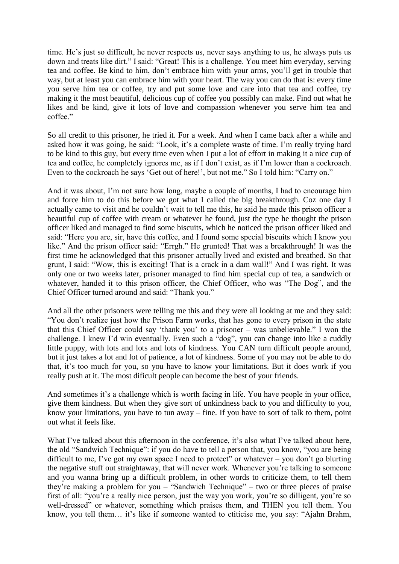time. He's just so difficult, he never respects us, never says anything to us, he always puts us down and treats like dirt." I said: "Great! This is a challenge. You meet him everyday, serving tea and coffee. Be kind to him, don"t embrace him with your arms, you"ll get in trouble that way, but at least you can embrace him with your heart. The way you can do that is: every time you serve him tea or coffee, try and put some love and care into that tea and coffee, try making it the most beautiful, delicious cup of coffee you possibly can make. Find out what he likes and be kind, give it lots of love and compassion whenever you serve him tea and coffee."

So all credit to this prisoner, he tried it. For a week. And when I came back after a while and asked how it was going, he said: "Look, it's a complete waste of time. I'm really trying hard to be kind to this guy, but every time even when I put a lot of effort in making it a nice cup of tea and coffee, he completely ignores me, as if I don"t exist, as if I"m lower than a cockroach. Even to the cockroach he says 'Get out of here!', but not me." So I told him: "Carry on."

And it was about, I"m not sure how long, maybe a couple of months, I had to encourage him and force him to do this before we got what I called the big breakthrough. Coz one day I actually came to visit and he couldn"t wait to tell me this, he said he made this prison officer a beautiful cup of coffee with cream or whatever he found, just the type he thought the prison officer liked and managed to find some biscuits, which he noticed the prison officer liked and said: "Here you are, sir, have this coffee, and I found some special biscuits which I know you like." And the prison officer said: "Errgh." He grunted! That was a breakthrough! It was the first time he acknowledged that this prisoner actually lived and existed and breathed. So that grunt, I said: "Wow, this is exciting! That is a crack in a dam wall!" And I was right. It was only one or two weeks later, prisoner managed to find him special cup of tea, a sandwich or whatever, handed it to this prison officer, the Chief Officer, who was "The Dog", and the Chief Officer turned around and said: "Thank you."

And all the other prisoners were telling me this and they were all looking at me and they said: "You don"t realize just how the Prison Farm works, that has gone to every prison in the state that this Chief Officer could say "thank you" to a prisoner – was unbelievable." I won the challenge. I knew I"d win eventually. Even such a "dog", you can change into like a cuddly little puppy, with lots and lots and lots of kindness. You CAN turn difficult people around, but it just takes a lot and lot of patience, a lot of kindness. Some of you may not be able to do that, it's too much for you, so you have to know your limitations. But it does work if you really push at it. The most dificult people can become the best of your friends.

And sometimes it's a challenge which is worth facing in life. You have people in your office, give them kindness. But when they give sort of unkindness back to you and difficulty to you, know your limitations, you have to tun away – fine. If you have to sort of talk to them, point out what if feels like.

What I've talked about this afternoon in the conference, it's also what I've talked about here, the old "Sandwich Technique": if you do have to tell a person that, you know, "you are being difficult to me, I've got my own space I need to protect" or whatever – you don't go blurting the negative stuff out straightaway, that will never work. Whenever you"re talking to someone and you wanna bring up a difficult problem, in other words to criticize them, to tell them they"re making a problem for you – "Sandwich Technique" – two or three pieces of praise first of all: "you"re a really nice person, just the way you work, you"re so dilligent, you"re so well-dressed" or whatever, something which praises them, and THEN you tell them. You know, you tell them... it's like if someone wanted to ctiticise me, you say: "Ajahn Brahm,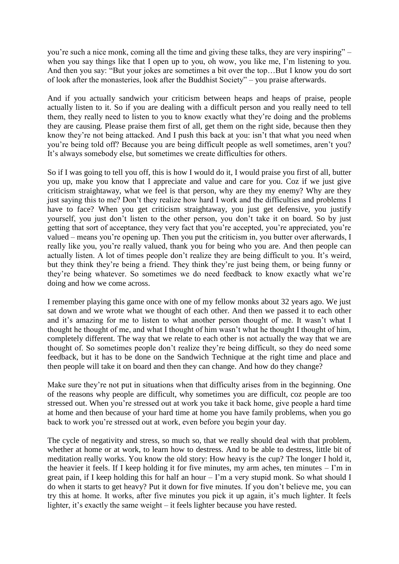you"re such a nice monk, coming all the time and giving these talks, they are very inspiring" – when you say things like that I open up to you, oh wow, you like me, I"m listening to you. And then you say: "But your jokes are sometimes a bit over the top…But I know you do sort of look after the monasteries, look after the Buddhist Society" – you praise afterwards.

And if you actually sandwich your criticism between heaps and heaps of praise, people actually listen to it. So if you are dealing with a difficult person and you really need to tell them, they really need to listen to you to know exactly what they"re doing and the problems they are causing. Please praise them first of all, get them on the right side, because then they know they"re not being attacked. And I push this back at you: isn"t that what you need when you"re being told off? Because you are being difficult people as well sometimes, aren"t you? It's always somebody else, but sometimes we create difficulties for others.

So if I was going to tell you off, this is how I would do it, I would praise you first of all, butter you up, make you know that I appreciate and value and care for you. Coz if we just give criticism straightaway, what we feel is that person, why are they my enemy? Why are they just saying this to me? Don"t they realize how hard I work and the difficulties and problems I have to face? When you get criticism straightaway, you just get defensive, you justify yourself, you just don"t listen to the other person, you don"t take it on board. So by just getting that sort of acceptance, they very fact that you"re accepted, you"re appreciated, you"re valued – means you"re opening up. Then you put the criticism in, you butter over afterwards, I really like you, you"re really valued, thank you for being who you are. And then people can actually listen. A lot of times people don't realize they are being difficult to you. It's weird, but they think they"re being a friend. They think they"re just being them, or being funny or they"re being whatever. So sometimes we do need feedback to know exactly what we"re doing and how we come across.

I remember playing this game once with one of my fellow monks about 32 years ago. We just sat down and we wrote what we thought of each other. And then we passed it to each other and it's amazing for me to listen to what another person thought of me. It wasn't what I thought he thought of me, and what I thought of him wasn"t what he thought I thought of him, completely different. The way that we relate to each other is not actually the way that we are thought of. So sometimes people don"t realize they"re being difficult, so they do need some feedback, but it has to be done on the Sandwich Technique at the right time and place and then people will take it on board and then they can change. And how do they change?

Make sure they're not put in situations when that difficulty arises from in the beginning. One of the reasons why people are difficult, why sometimes you are difficult, coz people are too stressed out. When you"re stressed out at work you take it back home, give people a hard time at home and then because of your hard time at home you have family problems, when you go back to work you"re stressed out at work, even before you begin your day.

The cycle of negativity and stress, so much so, that we really should deal with that problem, whether at home or at work, to learn how to destress. And to be able to destress, little bit of meditation really works. You know the old story: How heavy is the cup? The longer I hold it, the heavier it feels. If I keep holding it for five minutes, my arm aches, ten minutes – I"m in great pain, if I keep holding this for half an hour  $-$  I'm a very stupid monk. So what should I do when it starts to get heavy? Put it down for five minutes. If you don"t believe me, you can try this at home. It works, after five minutes you pick it up again, it"s much lighter. It feels lighter, it's exactly the same weight  $-$  it feels lighter because you have rested.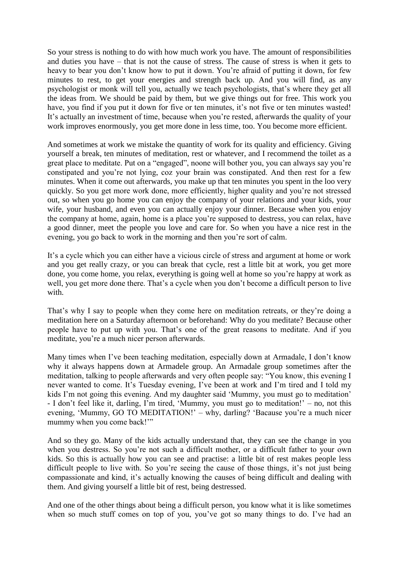So your stress is nothing to do with how much work you have. The amount of responsibilities and duties you have – that is not the cause of stress. The cause of stress is when it gets to heavy to bear you don't know how to put it down. You're afraid of putting it down, for few minutes to rest, to get your energies and strength back up. And you will find, as any psychologist or monk will tell you, actually we teach psychologists, that"s where they get all the ideas from. We should be paid by them, but we give things out for free. This work you have, you find if you put it down for five or ten minutes, it's not five or ten minutes wasted! It's actually an investment of time, because when you're rested, afterwards the quality of your work improves enormously, you get more done in less time, too. You become more efficient.

And sometimes at work we mistake the quantity of work for its quality and efficiency. Giving yourself a break, ten minutes of meditation, rest or whatever, and I recommend the toilet as a great place to meditate. Put on a "engaged", noone will bother you, you can always say you"re constipated and you"re not lying, coz your brain was constipated. And then rest for a few minutes. When it come out afterwards, you make up that ten minutes you spent in the loo very quickly. So you get more work done, more efficiently, higher quality and you"re not stressed out, so when you go home you can enjoy the company of your relations and your kids, your wife, your husband, and even you can actually enjoy your dinner. Because when you enjoy the company at home, again, home is a place you"re supposed to destress, you can relax, have a good dinner, meet the people you love and care for. So when you have a nice rest in the evening, you go back to work in the morning and then you"re sort of calm.

It"s a cycle which you can either have a vicious circle of stress and argument at home or work and you get really crazy, or you can break that cycle, rest a little bit at work, you get more done, you come home, you relax, everything is going well at home so you"re happy at work as well, you get more done there. That's a cycle when you don't become a difficult person to live with.

That's why I say to people when they come here on meditation retreats, or they're doing a meditation here on a Saturday afternoon or beforehand: Why do you meditate? Because other people have to put up with you. That"s one of the great reasons to meditate. And if you meditate, you"re a much nicer person afterwards.

Many times when I've been teaching meditation, especially down at Armadale, I don't know why it always happens down at Armadele group. An Armadale group sometimes after the meditation, talking to people afterwards and very often people say: "You know, this evening I never wanted to come. It's Tuesday evening, I've been at work and I'm tired and I told my kids I'm not going this evening. And my daughter said 'Mummy, you must go to meditation' - I don"t feel like it, darling, I"m tired, "Mummy, you must go to meditation!" – no, not this evening, "Mummy, GO TO MEDITATION!" – why, darling? "Bacause you"re a much nicer mummy when you come back!""

And so they go. Many of the kids actually understand that, they can see the change in you when you destress. So you"re not such a difficult mother, or a difficult father to your own kids. So this is actually how you can see and practise: a little bit of rest makes people less difficult people to live with. So you're seeing the cause of those things, it's not just being compassionate and kind, it's actually knowing the causes of being difficult and dealing with them. And giving yourself a little bit of rest, being destressed.

And one of the other things about being a difficult person, you know what it is like sometimes when so much stuff comes on top of you, you've got so many things to do. I've had an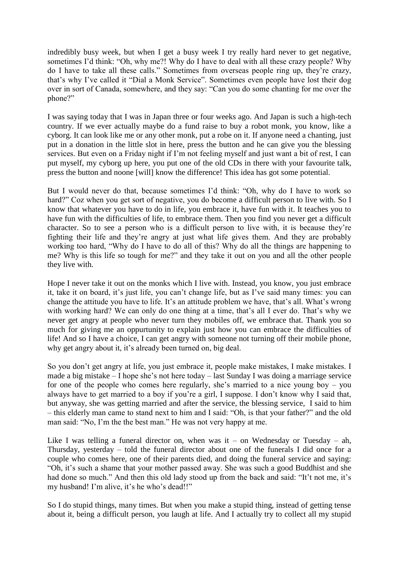indredibly busy week, but when I get a busy week I try really hard never to get negative, sometimes I'd think: "Oh, why me?! Why do I have to deal with all these crazy people? Why do I have to take all these calls." Sometimes from overseas people ring up, they"re crazy, that"s why I"ve called it "Dial a Monk Service". Sometimes even people have lost their dog over in sort of Canada, somewhere, and they say: "Can you do some chanting for me over the phone?"

I was saying today that I was in Japan three or four weeks ago. And Japan is such a high-tech country. If we ever actually maybe do a fund raise to buy a robot monk, you know, like a cyborg. It can look like me or any other monk, put a robe on it. If anyone need a chanting, just put in a donation in the little slot in here, press the button and he can give you the blessing services. But even on a Friday night if I'm not feeling myself and just want a bit of rest, I can put myself, my cyborg up here, you put one of the old CDs in there with your favourite talk, press the button and noone [will] know the difference! This idea has got some potential.

But I would never do that, because sometimes I"d think: "Oh, why do I have to work so hard?" Coz when you get sort of negative, you do become a difficult person to live with. So I know that whatever you have to do in life, you embrace it, have fun with it. It teaches you to have fun with the difficulties of life, to embrace them. Then you find you never get a difficult character. So to see a person who is a difficult person to live with, it is because they"re fighting their life and they"re angry at just what life gives them. And they are probably working too hard, "Why do I have to do all of this? Why do all the things are happening to me? Why is this life so tough for me?" and they take it out on you and all the other people they live with.

Hope I never take it out on the monks which I live with. Instead, you know, you just embrace it, take it on board, it's just life, you can't change life, but as I've said many times: you can change the attitude you have to life. It's an attitude problem we have, that's all. What's wrong with working hard? We can only do one thing at a time, that's all I ever do. That's why we never get angry at people who never turn they mobiles off, we embrace that. Thank you so much for giving me an oppurtunity to explain just how you can embrace the difficulties of life! And so I have a choice, I can get angry with someone not turning off their mobile phone, why get angry about it, it's already been turned on, big deal.

So you don"t get angry at life, you just embrace it, people make mistakes, I make mistakes. I made a big mistake – I hope she"s not here today – last Sunday I was doing a marriage service for one of the people who comes here regularly, she's married to a nice young boy – you always have to get married to a boy if you"re a girl, I suppose. I don"t know why I said that, but anyway, she was getting married and after the service, the blessing service, I said to him – this elderly man came to stand next to him and I said: "Oh, is that your father?" and the old man said: "No, I"m the the best man." He was not very happy at me.

Like I was telling a funeral director on, when was it – on Wednesday or Tuesday – ah, Thursday, yesterday – told the funeral director about one of the funerals I did once for a couple who comes here, one of their parents died, and doing the funeral service and saying: "Oh, it's such a shame that your mother passed away. She was such a good Buddhist and she had done so much." And then this old lady stood up from the back and said: "It't not me, it's my husband! I'm alive, it's he who's dead!!"

So I do stupid things, many times. But when you make a stupid thing, instead of getting tense about it, being a difficult person, you laugh at life. And I actually try to collect all my stupid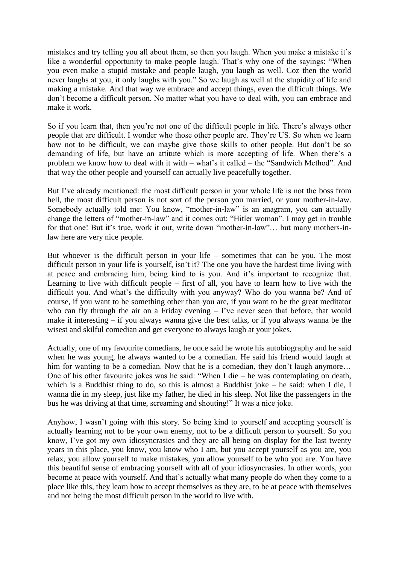mistakes and try telling you all about them, so then you laugh. When you make a mistake it's like a wonderful opportunity to make people laugh. That's why one of the sayings: "When you even make a stupid mistake and people laugh, you laugh as well. Coz then the world never laughs at you, it only laughs with you." So we laugh as well at the stupidity of life and making a mistake. And that way we embrace and accept things, even the difficult things. We don"t become a difficult person. No matter what you have to deal with, you can embrace and make it work.

So if you learn that, then you're not one of the difficult people in life. There's always other people that are difficult. I wonder who those other people are. They"re US. So when we learn how not to be difficult, we can maybe give those skills to other people. But don"t be so demanding of life, but have an attitute which is more accepting of life. When there's a problem we know how to deal with it with – what"s it called – the "Sandwich Method". And that way the other people and yourself can actually live peacefully together.

But I've already mentioned: the most difficult person in your whole life is not the boss from hell, the most difficult person is not sort of the person you married, or your mother-in-law. Somebody actually told me: You know, "mother-in-law" is an anagram, you can actually change the letters of "mother-in-law" and it comes out: "Hitler woman". I may get in trouble for that one! But it's true, work it out, write down "mother-in-law"... but many mothers-inlaw here are very nice people.

But whoever is the difficult person in your life – sometimes that can be you. The most difficult person in your life is yourself, isn't it? The one you have the hardest time living with at peace and embracing him, being kind to is you. And it"s important to recognize that. Learning to live with difficult people – first of all, you have to learn how to live with the difficult you. And what"s the difficulty with you anyway? Who do you wanna be? And of course, if you want to be something other than you are, if you want to be the great meditator who can fly through the air on a Friday evening  $-$  I've never seen that before, that would make it interesting – if you always wanna give the best talks, or if you always wanna be the wisest and skilful comedian and get everyone to always laugh at your jokes.

Actually, one of my favourite comedians, he once said he wrote his autobiography and he said when he was young, he always wanted to be a comedian. He said his friend would laugh at him for wanting to be a comedian. Now that he is a comedian, they don't laugh anymore... One of his other favourite jokes was he said: "When I die – he was contemplating on death, which is a Buddhist thing to do, so this is almost a Buddhist joke – he said: when I die, I wanna die in my sleep, just like my father, he died in his sleep. Not like the passengers in the bus he was driving at that time, screaming and shouting!" It was a nice joke.

Anyhow, I wasn"t going with this story. So being kind to yourself and accepting yourself is actually learning not to be your own enemy, not to be a difficult person to yourself. So you know, I've got my own idiosyncrasies and they are all being on display for the last twenty years in this place, you know, you know who I am, but you accept yourself as you are, you relax, you allow yourself to make mistakes, you allow yourself to be who you are. You have this beautiful sense of embracing yourself with all of your idiosyncrasies. In other words, you become at peace with yourself. And that's actually what many people do when they come to a place like this, they learn how to accept themselves as they are, to be at peace with themselves and not being the most difficult person in the world to live with.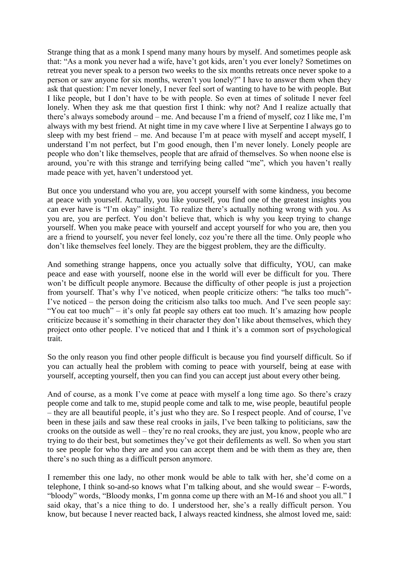Strange thing that as a monk I spend many many hours by myself. And sometimes people ask that: "As a monk you never had a wife, have"t got kids, aren"t you ever lonely? Sometimes on retreat you never speak to a person two weeks to the six months retreats once never spoke to a person or saw anyone for six months, weren"t you lonely?" I have to answer them when they ask that question: I"m never lonely, I never feel sort of wanting to have to be with people. But I like people, but I don"t have to be with people. So even at times of solitude I never feel lonely. When they ask me that question first I think: why not? And I realize actually that there"s always somebody around – me. And because I"m a friend of myself, coz I like me, I"m always with my best friend. At night time in my cave where I live at Serpentine I always go to sleep with my best friend – me. And because I"m at peace with myself and accept myself, I understand I"m not perfect, but I"m good enough, then I"m never lonely. Lonely people are people who don"t like themselves, people that are afraid of themselves. So when noone else is around, you're with this strange and terrifying being called "me", which you haven't really made peace with yet, haven"t understood yet.

But once you understand who you are, you accept yourself with some kindness, you become at peace with yourself. Actually, you like yourself, you find one of the greatest insights you can ever have is "I"m okay" insight. To realize there"s actually nothing wrong with you. As you are, you are perfect. You don"t believe that, which is why you keep trying to change yourself. When you make peace with yourself and accept yourself for who you are, then you are a friend to yourself, you never feel lonely, coz you"re there all the time. Only people who don"t like themselves feel lonely. They are the biggest problem, they are the difficulty.

And something strange happens, once you actually solve that difficulty, YOU, can make peace and ease with yourself, noone else in the world will ever be difficult for you. There won't be difficult people anymore. Because the difficulty of other people is just a projection from yourself. That's why I've noticed, when people criticize others: "he talks too much"-I"ve noticed – the person doing the criticism also talks too much. And I"ve seen people say: "You eat too much" – it's only fat people say others eat too much. It's amazing how people criticize because it's something in their character they don't like about themselves, which they project onto other people. I've noticed that and I think it's a common sort of psychological trait.

So the only reason you find other people difficult is because you find yourself difficult. So if you can actually heal the problem with coming to peace with yourself, being at ease with yourself, accepting yourself, then you can find you can accept just about every other being.

And of course, as a monk I've come at peace with myself a long time ago. So there's crazy people come and talk to me, stupid people come and talk to me, wise people, beautiful people – they are all beautiful people, it's just who they are. So I respect people. And of course, I've been in these jails and saw these real crooks in jails, I"ve been talking to politicians, saw the crooks on the outside as well – they"re no real crooks, they are just, you know, people who are trying to do their best, but sometimes they"ve got their defilements as well. So when you start to see people for who they are and you can accept them and be with them as they are, then there"s no such thing as a difficult person anymore.

I remember this one lady, no other monk would be able to talk with her, she"d come on a telephone, I think so-and-so knows what I"m talking about, and she would swear – F-words, "bloody" words, "Bloody monks, I"m gonna come up there with an M-16 and shoot you all." I said okay, that's a nice thing to do. I understood her, she's a really difficult person. You know, but because I never reacted back, I always reacted kindness, she almost loved me, said: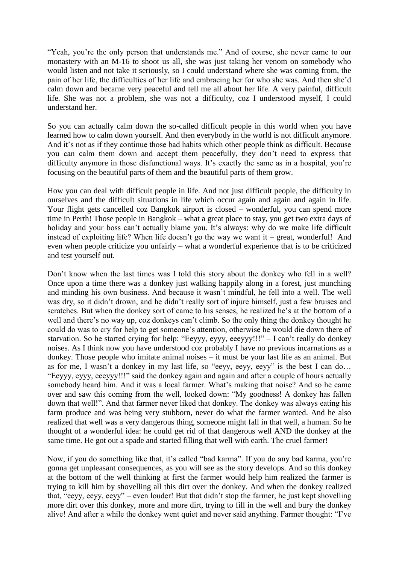"Yeah, you"re the only person that understands me." And of course, she never came to our monastery with an M-16 to shoot us all, she was just taking her venom on somebody who would listen and not take it seriously, so I could understand where she was coming from, the pain of her life, the difficulties of her life and embracing her for who she was. And then she"d calm down and became very peaceful and tell me all about her life. A very painful, difficult life. She was not a problem, she was not a difficulty, coz I understood myself, I could understand her.

So you can actually calm down the so-called difficult people in this world when you have learned how to calm down yourself. And then everybody in the world is not difficult anymore. And it's not as if they continue those bad habits which other people think as difficult. Because you can calm them down and accept them peacefully, they don"t need to express that difficulty anymore in those disfunctional ways. It's exactly the same as in a hospital, you're focusing on the beautiful parts of them and the beautiful parts of them grow.

How you can deal with difficult people in life. And not just difficult people, the difficulty in ourselves and the difficult situations in life which occur again and again and again in life. Your flight gets cancelled coz Bangkok airport is closed – wonderful, you can spend more time in Perth! Those people in Bangkok – what a great place to stay, you get two extra days of holiday and your boss can't actually blame you. It's always: why do we make life difficult instead of exploiting life? When life doesn't go the way we want it – great, wonderful! And even when people criticize you unfairly – what a wonderful experience that is to be criticized and test yourself out.

Don"t know when the last times was I told this story about the donkey who fell in a well? Once upon a time there was a donkey just walking happily along in a forest, just munching and minding his own business. And because it wasn"t mindful, he fell into a well. The well was dry, so it didn"t drown, and he didn"t really sort of injure himself, just a few bruises and scratches. But when the donkey sort of came to his senses, he realized he's at the bottom of a well and there's no way up, coz donkeys can't climb. So the only thing the donkey thought he could do was to cry for help to get someone"s attention, otherwise he would die down there of starvation. So he started crying for help: "Eeyyy, eyyy, eeeyyy!!!" – I can"t really do donkey noises. As I think now you have understood coz probably I have no previous incarnations as a donkey. Those people who imitate animal noises – it must be your last life as an animal. But as for me, I wasn"t a donkey in my last life, so "eeyy, eeyy, eeyy" is the best I can do… "Eeyyy, eyyy, eeeyyy!!!" said the donkey again and again and after a couple of hours actually somebody heard him. And it was a local farmer. What's making that noise? And so he came over and saw this coming from the well, looked down: "My goodness! A donkey has fallen down that well!". And that farmer never liked that donkey. The donkey was always eating his farm produce and was being very stubborn, never do what the farmer wanted. And he also realized that well was a very dangerous thing, someone might fall in that well, a human. So he thought of a wonderful idea: he could get rid of that dangerous well AND the donkey at the same time. He got out a spade and started filling that well with earth. The cruel farmer!

Now, if you do something like that, it's called "bad karma". If you do any bad karma, you're gonna get unpleasant consequences, as you will see as the story develops. And so this donkey at the bottom of the well thinking at first the farmer would help him realized the farmer is trying to kill him by shovelling all this dirt over the donkey. And when the donkey realized that, "eeyy, eeyy, eeyy" – even louder! But that didn"t stop the farmer, he just kept shovelling more dirt over this donkey, more and more dirt, trying to fill in the well and bury the donkey alive! And after a while the donkey went quiet and never said anything. Farmer thought: "I"ve